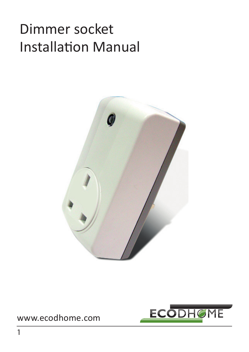# Dimmer socket Installation Manual



#### www.ecodhome.com

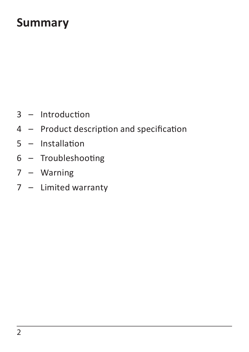#### **Summary**

- Introduction
- Product description and specification
- Installation
- Troubleshooting
- Warning
- Limited warranty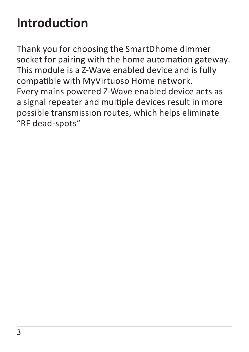## **Introduction**

Thank you for choosing the SmartDhome dimmer socket for pairing with the home automation gateway. This module is a Z-Wave enabled device and is fully compatible with MyVirtuoso Home network. Every mains powered Z-Wave enabled device acts as a signal repeater and multiple devices result in more possible transmission routes, which helps eliminate "RF dead-spots"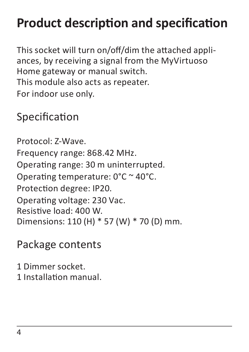## **Product description and specification**

This socket will turn on/off/dim the attached appliances, by receiving a signal from the MyVirtuoso Home gateway or manual switch. This module also acts as repeater. For indoor use only.

#### Specification

Protocol: Z-Wave. Frequency range: 868.42 MHz. Operating range: 30 m uninterrupted. Operating temperature: 0°C ~ 40°C. Protection degree: IP20. Operating voltage: 230 Vac. Resistive load: 400 W. Dimensions: 110 (H) \* 57 (W) \* 70 (D) mm.

#### Package contents

1 Dimmer socket. 1 Installation manual.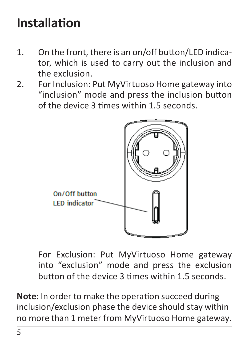## **Installation**

- 1. On the front, there is an on/off button/LED indicator, which is used to carry out the inclusion and the exclusion.
- 2. For Inclusion: Put MyVirtuoso Home gateway into "inclusion" mode and press the inclusion button of the device 3 times within 1.5 seconds.



For Exclusion: Put MyVirtuoso Home gateway into "exclusion" mode and press the exclusion button of the device 3 times within 1.5 seconds.

**Note:** In order to make the operation succeed during inclusion/exclusion phase the device should stay within no more than 1 meter from MyVirtuoso Home gateway.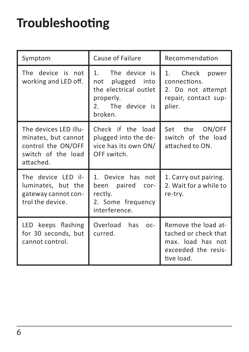## **Troubleshooting**

| Symptom                                                                                               | Cause of Failure                                                                                             | Recommendation                                                                                        |
|-------------------------------------------------------------------------------------------------------|--------------------------------------------------------------------------------------------------------------|-------------------------------------------------------------------------------------------------------|
| The device is not<br>working and LED off.                                                             | The device is<br>1.<br>not plugged into<br>the electrical outlet<br>properly.<br>2. The device is<br>broken. | 1. Check<br>power<br>connections.<br>2. Do not attempt<br>repair, contact sup-<br>plier.              |
| The devices LFD illu-<br>minates, but cannot<br>control the ON/OFF<br>switch of the load<br>attached. | Check if the load<br>plugged into the de-<br>vice has its own ON/<br>OFF switch.                             | Set the ON/OFF<br>switch of the load<br>attached to ON.                                               |
| The device LFD il-<br>luminates, but the<br>gateway cannot con-<br>trol the device.                   | 1. Device has not<br>been paired<br>$COT-$<br>rectly.<br>2. Some frequency<br>interference.                  | 1. Carry out pairing.<br>2. Wait for a while to<br>re-try.                                            |
| LED keeps flashing<br>for 30 seconds, but<br>cannot control.                                          | Overload<br>has<br>$OC-$<br>curred.                                                                          | Remove the load at-<br>tached or check that<br>max. load has not<br>exceeded the resis-<br>tive load. |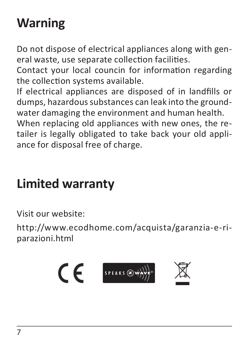# **Warning**

Do not dispose of electrical appliances along with general waste, use separate collection facilities.

Contact your local councin for information regarding the collection systems available.

If electrical appliances are disposed of in landfills or dumps, hazardous substances can leak into the groundwater damaging the environment and human health. When replacing old appliances with new ones, the re-

tailer is legally obligated to take back your old appliance for disposal free of charge.

#### **Limited warranty**

Visit our website:

http://www.ecodhome.com/acquista/garanzia-e-riparazioni.html